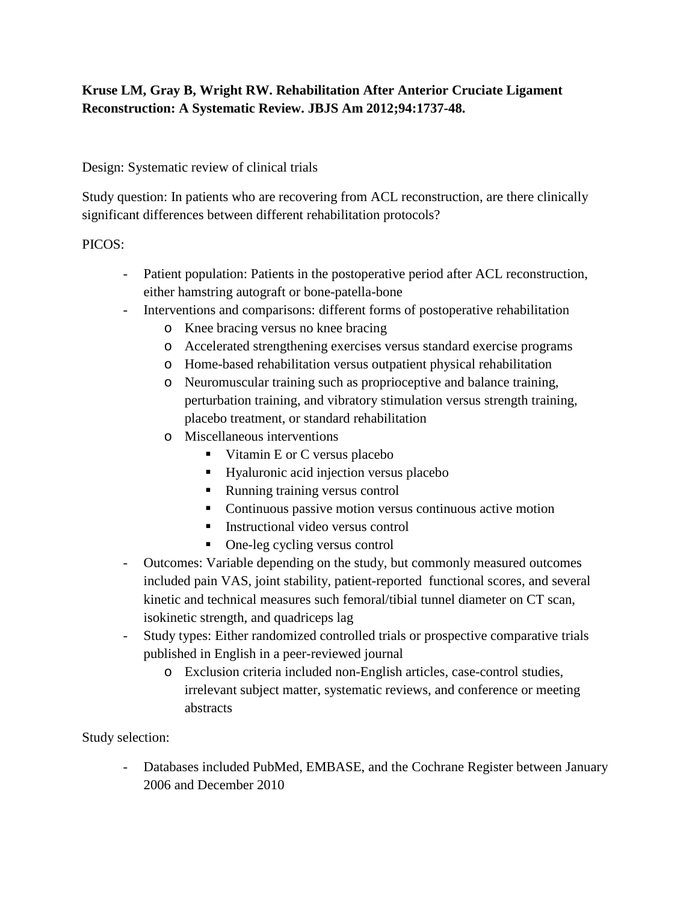# **Kruse LM, Gray B, Wright RW. Rehabilitation After Anterior Cruciate Ligament Reconstruction: A Systematic Review. JBJS Am 2012;94:1737-48.**

### Design: Systematic review of clinical trials

Study question: In patients who are recovering from ACL reconstruction, are there clinically significant differences between different rehabilitation protocols?

### PICOS:

- Patient population: Patients in the postoperative period after ACL reconstruction, either hamstring autograft or bone-patella-bone
- Interventions and comparisons: different forms of postoperative rehabilitation
	- o Knee bracing versus no knee bracing
	- o Accelerated strengthening exercises versus standard exercise programs
	- o Home-based rehabilitation versus outpatient physical rehabilitation
	- o Neuromuscular training such as proprioceptive and balance training, perturbation training, and vibratory stimulation versus strength training, placebo treatment, or standard rehabilitation
	- o Miscellaneous interventions
		- Vitamin E or C versus placebo
		- Hyaluronic acid injection versus placebo
		- Running training versus control
		- Continuous passive motion versus continuous active motion
		- $\blacksquare$  Instructional video versus control
		- One-leg cycling versus control
- Outcomes: Variable depending on the study, but commonly measured outcomes included pain VAS, joint stability, patient-reported functional scores, and several kinetic and technical measures such femoral/tibial tunnel diameter on CT scan, isokinetic strength, and quadriceps lag
- Study types: Either randomized controlled trials or prospective comparative trials published in English in a peer-reviewed journal
	- o Exclusion criteria included non-English articles, case-control studies, irrelevant subject matter, systematic reviews, and conference or meeting abstracts

Study selection:

- Databases included PubMed, EMBASE, and the Cochrane Register between January 2006 and December 2010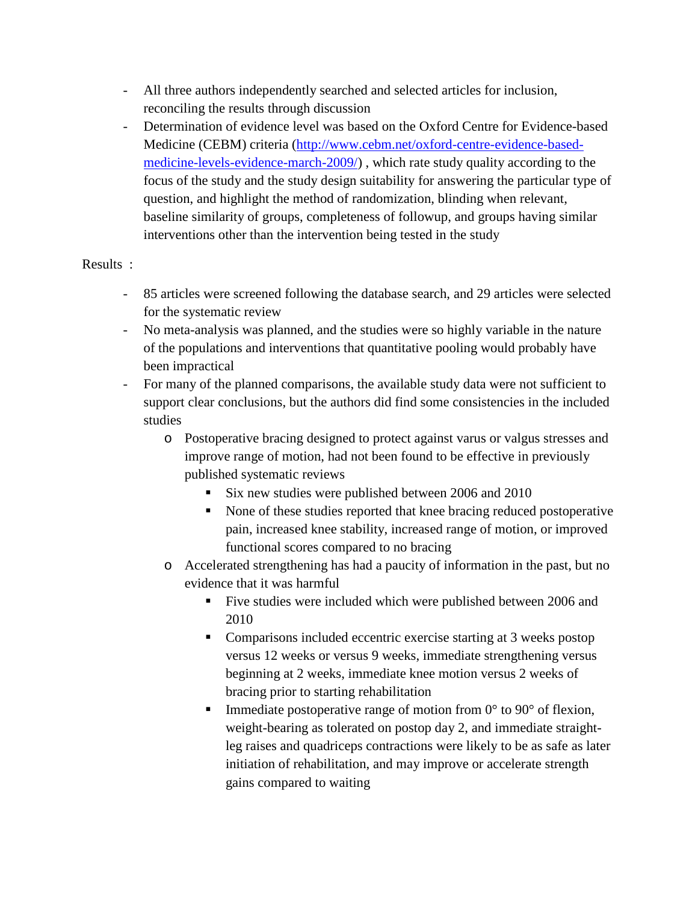- All three authors independently searched and selected articles for inclusion, reconciling the results through discussion
- Determination of evidence level was based on the Oxford Centre for Evidence-based Medicine (CEBM) criteria [\(http://www.cebm.net/oxford-centre-evidence-based](http://www.cebm.net/oxford-centre-evidence-based-medicine-levels-evidence-march-2009/)[medicine-levels-evidence-march-2009/\)](http://www.cebm.net/oxford-centre-evidence-based-medicine-levels-evidence-march-2009/) , which rate study quality according to the focus of the study and the study design suitability for answering the particular type of question, and highlight the method of randomization, blinding when relevant, baseline similarity of groups, completeness of followup, and groups having similar interventions other than the intervention being tested in the study

#### Results :

- 85 articles were screened following the database search, and 29 articles were selected for the systematic review
- No meta-analysis was planned, and the studies were so highly variable in the nature of the populations and interventions that quantitative pooling would probably have been impractical
- For many of the planned comparisons, the available study data were not sufficient to support clear conclusions, but the authors did find some consistencies in the included studies
	- o Postoperative bracing designed to protect against varus or valgus stresses and improve range of motion, had not been found to be effective in previously published systematic reviews
		- Six new studies were published between 2006 and 2010
		- None of these studies reported that knee bracing reduced postoperative pain, increased knee stability, increased range of motion, or improved functional scores compared to no bracing
	- o Accelerated strengthening has had a paucity of information in the past, but no evidence that it was harmful
		- Five studies were included which were published between 2006 and 2010
		- Comparisons included eccentric exercise starting at 3 weeks postop versus 12 weeks or versus 9 weeks, immediate strengthening versus beginning at 2 weeks, immediate knee motion versus 2 weeks of bracing prior to starting rehabilitation
		- Immediate postoperative range of motion from  $0^{\circ}$  to  $90^{\circ}$  of flexion, weight-bearing as tolerated on postop day 2, and immediate straightleg raises and quadriceps contractions were likely to be as safe as later initiation of rehabilitation, and may improve or accelerate strength gains compared to waiting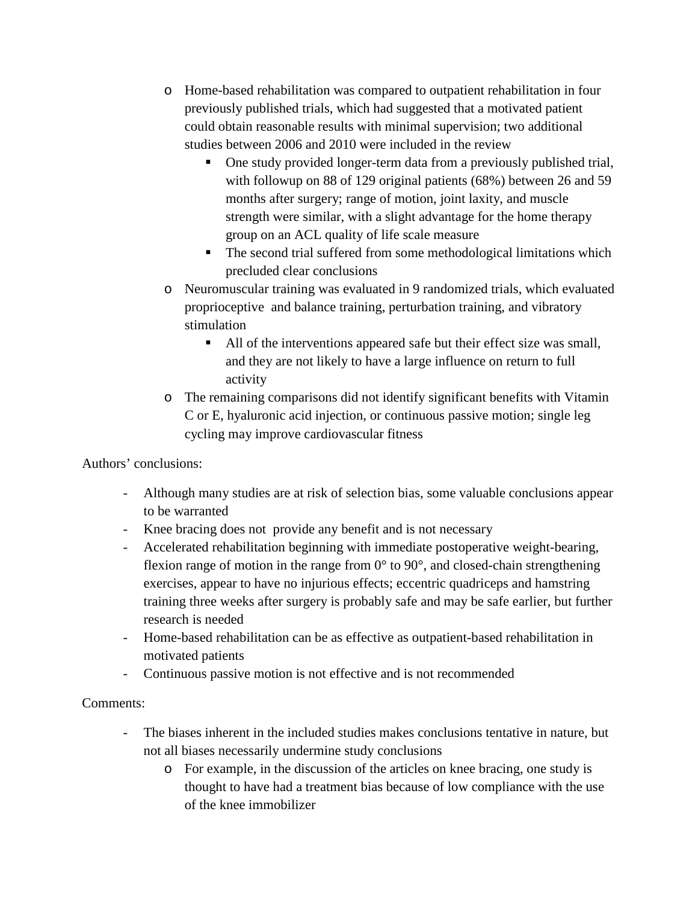- o Home-based rehabilitation was compared to outpatient rehabilitation in four previously published trials, which had suggested that a motivated patient could obtain reasonable results with minimal supervision; two additional studies between 2006 and 2010 were included in the review
	- One study provided longer-term data from a previously published trial, with followup on 88 of 129 original patients (68%) between 26 and 59 months after surgery; range of motion, joint laxity, and muscle strength were similar, with a slight advantage for the home therapy group on an ACL quality of life scale measure
	- The second trial suffered from some methodological limitations which precluded clear conclusions
- o Neuromuscular training was evaluated in 9 randomized trials, which evaluated proprioceptive and balance training, perturbation training, and vibratory stimulation
	- All of the interventions appeared safe but their effect size was small, and they are not likely to have a large influence on return to full activity
- o The remaining comparisons did not identify significant benefits with Vitamin C or E, hyaluronic acid injection, or continuous passive motion; single leg cycling may improve cardiovascular fitness

#### Authors' conclusions:

- Although many studies are at risk of selection bias, some valuable conclusions appear to be warranted
- Knee bracing does not provide any benefit and is not necessary
- Accelerated rehabilitation beginning with immediate postoperative weight-bearing, flexion range of motion in the range from  $0^{\circ}$  to  $90^{\circ}$ , and closed-chain strengthening exercises, appear to have no injurious effects; eccentric quadriceps and hamstring training three weeks after surgery is probably safe and may be safe earlier, but further research is needed
- Home-based rehabilitation can be as effective as outpatient-based rehabilitation in motivated patients
- Continuous passive motion is not effective and is not recommended

## Comments:

- The biases inherent in the included studies makes conclusions tentative in nature, but not all biases necessarily undermine study conclusions
	- o For example, in the discussion of the articles on knee bracing, one study is thought to have had a treatment bias because of low compliance with the use of the knee immobilizer